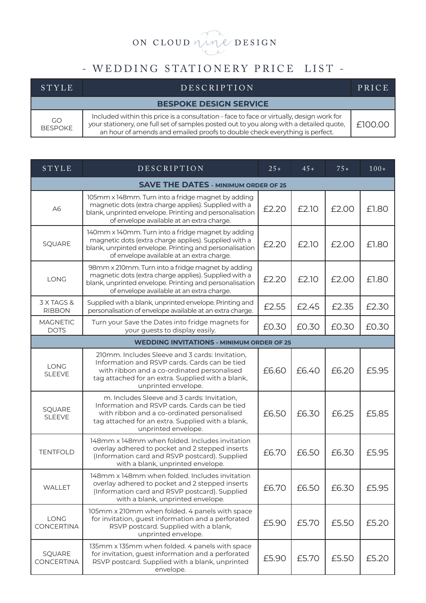## ON CLOUD nine DESIGN

## - WEDDING STATIONERY PRICE LIST -

| <b>STYLE</b>                | <b>DESCRIPTION</b>                                                                                                                                                                                                                                                  | PRICE   |
|-----------------------------|---------------------------------------------------------------------------------------------------------------------------------------------------------------------------------------------------------------------------------------------------------------------|---------|
|                             | <b>BESPOKE DESIGN SERVICE</b>                                                                                                                                                                                                                                       |         |
| <b>GO</b><br><b>BESPOKE</b> | Included within this price is a consultation - face to face or virtually, design work for<br>your stationery, one full set of samples posted out to you along with a detailed quote,<br>an hour of amends and emailed proofs to double check everything is perfect. | £100.00 |

| STYLE                                       | DESCRIPTION                                                                                                                                                                                                                 | $25+$ | $45+$ | $75+$ | $100+$ |
|---------------------------------------------|-----------------------------------------------------------------------------------------------------------------------------------------------------------------------------------------------------------------------------|-------|-------|-------|--------|
| <b>SAVE THE DATES - MINIMUM ORDER OF 25</b> |                                                                                                                                                                                                                             |       |       |       |        |
| A <sub>6</sub>                              | 105mm x 148mm. Turn into a fridge magnet by adding<br>magnetic dots (extra charge applies). Supplied with a<br>blank, unprinted envelope. Printing and personalisation<br>of envelope available at an extra charge.         | £2.20 | £2.10 | £2.00 | £1.80  |
| SQUARE                                      | 140mm x 140mm. Turn into a fridge magnet by adding<br>magnetic dots (extra charge applies). Supplied with a<br>blank, unrpinted envelope. Printing and personalisation<br>of envelope available at an extra charge.         | £2.20 | £2.10 | £2.00 | £1.80  |
| LONG                                        | 98mm x 210mm. Turn into a fridge magnet by adding<br>magnetic dots (extra charge applies). Supplied with a<br>blank, unprinted envelope. Printing and personalisation<br>of envelope available at an extra charge.          | £2.20 | £2.10 | £2.00 | £1.80  |
| 3 X TAGS &<br><b>RIBBON</b>                 | Supplied with a blank, unprinted envelope. Printing and<br>personalisation of envelope available at an extra charge.                                                                                                        | £2.55 | £2.45 | £2.35 | £2.30  |
| <b>MAGNETIC</b><br><b>DOTS</b>              | Turn your Save the Dates into fridge magnets for<br>your guests to display easily.                                                                                                                                          | £0.30 | £0.30 | £0.30 | £0.30  |
|                                             | <b>WEDDING INVITATIONS - MINIMUM ORDER OF 25</b>                                                                                                                                                                            |       |       |       |        |
| <b>LONG</b><br><b>SLEEVE</b>                | 210mm. Includes Sleeve and 3 cards: Invitation,<br>Information and RSVP cards. Cards can be tied<br>with ribbon and a co-ordinated personalised<br>tag attached for an extra. Supplied with a blank,<br>unprinted envelope. | £6.60 | £6.40 | £6.20 | £5.95  |
| SQUARE<br><b>SLEEVE</b>                     | m. Includes Sleeve and 3 cards: Invitation,<br>Information and RSVP cards. Cards can be tied<br>with ribbon and a co-ordinated personalised<br>tag attached for an extra. Supplied with a blank,<br>unprinted envelope.     | £6.50 | £6.30 | £6.25 | £5.85  |
| <b>TENTFOLD</b>                             | 148mm x 148mm when folded. Includes invitation<br>overlay adhered to pocket and 2 stepped inserts<br>(Information card and RSVP postcard). Supplied<br>with a blank, unprinted envelope.                                    | £6.70 | £6.50 | £6.30 | £5.95  |
| WALLET                                      | 148mm x 148mm when folded. Includes invitation<br>overlay adhered to pocket and 2 stepped inserts<br>(Information card and RSVP postcard). Supplied<br>with a blank, unprinted envelope.                                    | £6.70 | £6.50 | £6.30 | £5.95  |
| LONG<br><b>CONCERTINA</b>                   | 105mm x 210mm when folded. 4 panels with space<br>for invitation, guest information and a perforated<br>RSVP postcard. Supplied with a blank,<br>unprinted envelope.                                                        | £5.90 | £5.70 | £5.50 | £5.20  |
| SQUARE<br><b>CONCERTINA</b>                 | 135mm x 135mm when folded. 4 panels with space<br>for invitation, guest information and a perforated<br>RSVP postcard. Supplied with a blank, unprinted<br>envelope.                                                        | £5.90 | £5.70 | £5.50 | £5.20  |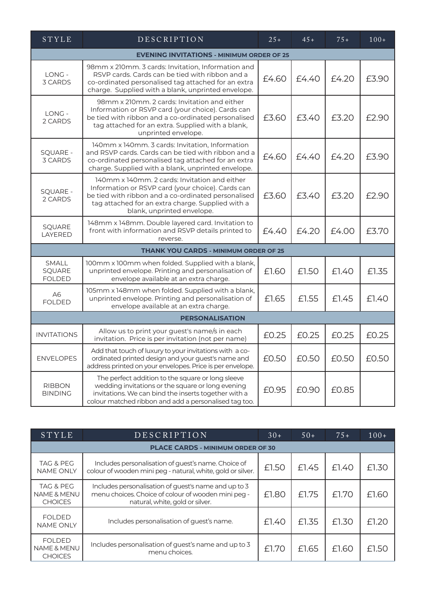| STYLE                                            | DESCRIPTION                                                                                                                                                                                                                                  | $25+$ | $45+$ | $75+$ | $100+$ |
|--------------------------------------------------|----------------------------------------------------------------------------------------------------------------------------------------------------------------------------------------------------------------------------------------------|-------|-------|-------|--------|
| <b>EVENING INVITATIONS - MINIMUM ORDER OF 25</b> |                                                                                                                                                                                                                                              |       |       |       |        |
| LONG -<br>3 CARDS                                | 98mm x 210mm. 3 cards: Invitation, Information and<br>RSVP cards. Cards can be tied with ribbon and a<br>co-ordinated personalised tag attached for an extra<br>charge. Supplied with a blank, unprinted envelope.                           | £4.60 | £4.40 | £4.20 | £3.90  |
| LONG -<br>2 CARDS                                | 98mm x 210mm. 2 cards: Invitation and either<br>Information or RSVP card (your choice). Cards can<br>be tied with ribbon and a co-ordinated personalised<br>tag attached for an extra. Supplied with a blank,<br>unprinted envelope.         | £3.60 | £3.40 | £3.20 | £2.90  |
| <b>SQUARE -</b><br>3 CARDS                       | 140mm x 140mm. 3 cards: Invitation, Information<br>and RSVP cards. Cards can be tied with ribbon and a<br>co-ordinated personalised tag attached for an extra<br>charge. Supplied with a blank, unprinted envelope.                          | £4.60 | £4.40 | £4.20 | £3.90  |
| <b>SQUARE -</b><br>2 CARDS                       | 140mm x 140mm. 2 cards: Invitation and either<br>Information or RSVP card (your choice). Cards can<br>be tied with ribbon and a co-ordinated personalised<br>tag attached for an extra charge. Supplied with a<br>blank, unprinted envelope. | £3.60 | £3.40 | £3.20 | £2.90  |
| SQUARE<br>LAYERED                                | 148mm x 148mm. Double layered card. Invitation to<br>front with information and RSVP details printed to<br>reverse.                                                                                                                          | £4.40 | £4.20 | £4.00 | £3.70  |
|                                                  | <b>THANK YOU CARDS - MINIMUM ORDER OF 25</b>                                                                                                                                                                                                 |       |       |       |        |
| SMALL<br>SQUARE<br><b>FOLDED</b>                 | 100mm x 100mm when folded. Supplied with a blank,<br>unprinted envelope. Printing and personalisation of<br>envelope available at an extra charge.                                                                                           | £1.60 | £1.50 | £1.40 | £1.35  |
| A6<br><b>FOLDED</b>                              | 105mm x 148mm when folded. Supplied with a blank,<br>unprinted envelope. Printing and personalisation of<br>envelope available at an extra charge.                                                                                           | £1.65 | £1.55 | £1.45 | £1.40  |
| <b>PERSONALISATION</b>                           |                                                                                                                                                                                                                                              |       |       |       |        |
| <b>INVITATIONS</b>                               | Allow us to print your guest's name/s in each<br>invitation. Price is per invitation (not per name)                                                                                                                                          | £0.25 | £0.25 | £0.25 | £0.25  |
| <b>ENVELOPES</b>                                 | Add that touch of luxury to your invitations with a co-<br>ordinated printed design and your guest's name and<br>address printed on your envelopes. Price is per envelope.                                                                   | £0.50 | £0.50 | £0.50 | £0.50  |
| <b>RIBBON</b><br><b>BINDING</b>                  | The perfect addition to the square or long sleeve<br>wedding invitations or the square or long evening<br>invitations. We can bind the inserts together with a<br>colour matched ribbon and add a personalised tag too.                      | £0.95 | £0.90 | £0.85 |        |

| <b>STYLE</b>                                          | DESCRIPTION                                                                                                                                    | $30+$ | $50+$ | $75+$ | $100+$ |
|-------------------------------------------------------|------------------------------------------------------------------------------------------------------------------------------------------------|-------|-------|-------|--------|
|                                                       | PLACE CARDS - MINIMUM ORDER OF 30                                                                                                              |       |       |       |        |
| TAG & PEG<br><b>NAME ONLY</b>                         | Includes personalisation of guest's name. Choice of<br>colour of wooden mini peg - natural, white, gold or silver.                             | £1.50 | £1.45 | £1.40 | £1.30  |
| TAG & PEG<br><b>NAME &amp; MENU</b><br><b>CHOICES</b> | Includes personalisation of guest's name and up to 3<br>menu choices. Choice of colour of wooden mini peg -<br>natural, white, gold or silver. | £1.80 | £1.75 | £1.70 | £1.60  |
| <b>FOLDED</b><br><b>NAME ONLY</b>                     | Includes personalisation of guest's name.                                                                                                      | £1.40 | £1.35 | £1.30 | £1.20  |
| FOLDED<br><b>NAME &amp; MENU</b><br><b>CHOICES</b>    | Includes personalisation of guest's name and up to 3<br>menu choices.                                                                          | £1.70 | £1.65 | £1.60 | £1.50  |